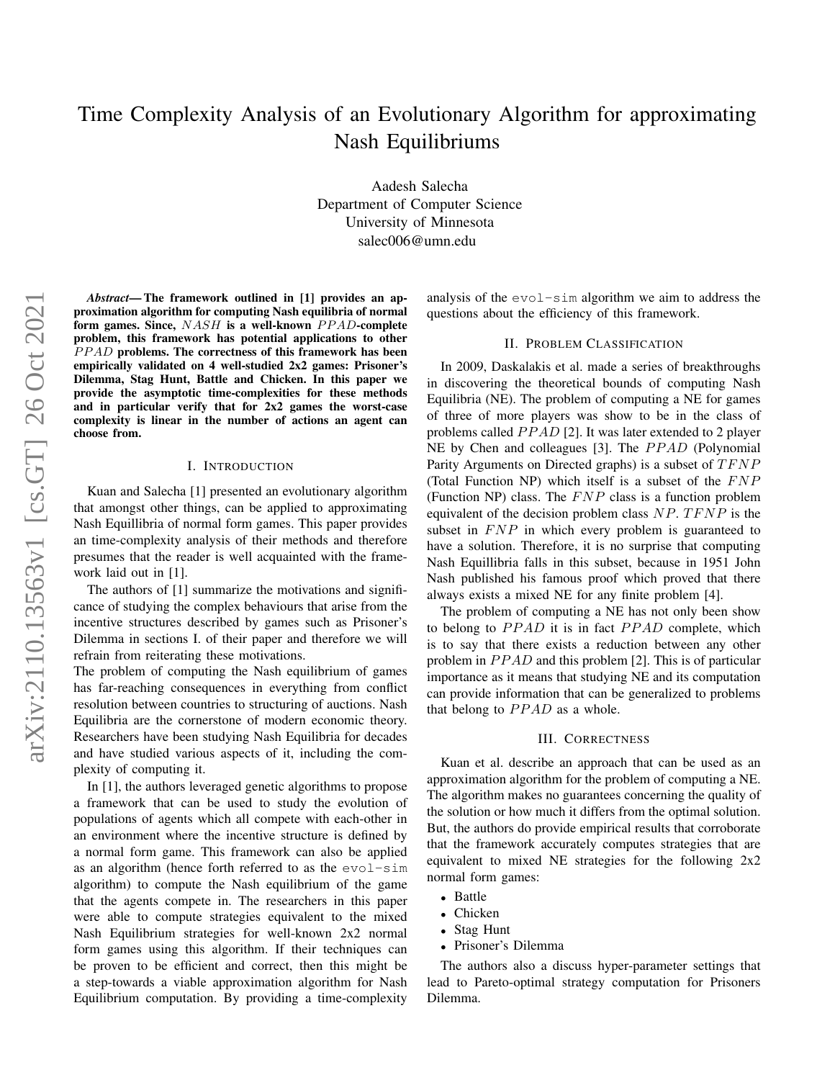# Time Complexity Analysis of an Evolutionary Algorithm for approximating Nash Equilibriums

Aadesh Salecha Department of Computer Science University of Minnesota salec006@umn.edu

*Abstract*— The framework outlined in [1] provides an approximation algorithm for computing Nash equilibria of normal form games. Since,  $NASH$  is a well-known  $PPAD$ -complete problem, this framework has potential applications to other PPAD problems. The correctness of this framework has been empirically validated on 4 well-studied 2x2 games: Prisoner's Dilemma, Stag Hunt, Battle and Chicken. In this paper we provide the asymptotic time-complexities for these methods and in particular verify that for 2x2 games the worst-case complexity is linear in the number of actions an agent can choose from.

#### I. INTRODUCTION

Kuan and Salecha [1] presented an evolutionary algorithm that amongst other things, can be applied to approximating Nash Equillibria of normal form games. This paper provides an time-complexity analysis of their methods and therefore presumes that the reader is well acquainted with the framework laid out in [1].

The authors of [1] summarize the motivations and significance of studying the complex behaviours that arise from the incentive structures described by games such as Prisoner's Dilemma in sections I. of their paper and therefore we will refrain from reiterating these motivations.

The problem of computing the Nash equilibrium of games has far-reaching consequences in everything from conflict resolution between countries to structuring of auctions. Nash Equilibria are the cornerstone of modern economic theory. Researchers have been studying Nash Equilibria for decades and have studied various aspects of it, including the complexity of computing it.

In [1], the authors leveraged genetic algorithms to propose a framework that can be used to study the evolution of populations of agents which all compete with each-other in an environment where the incentive structure is defined by a normal form game. This framework can also be applied as an algorithm (hence forth referred to as the evol-sim algorithm) to compute the Nash equilibrium of the game that the agents compete in. The researchers in this paper were able to compute strategies equivalent to the mixed Nash Equilibrium strategies for well-known 2x2 normal form games using this algorithm. If their techniques can be proven to be efficient and correct, then this might be a step-towards a viable approximation algorithm for Nash Equilibrium computation. By providing a time-complexity

analysis of the evol-sim algorithm we aim to address the questions about the efficiency of this framework.

# II. PROBLEM CLASSIFICATION

In 2009, Daskalakis et al. made a series of breakthroughs in discovering the theoretical bounds of computing Nash Equilibria (NE). The problem of computing a NE for games of three of more players was show to be in the class of problems called PPAD [2]. It was later extended to 2 player NE by Chen and colleagues [3]. The PPAD (Polynomial Parity Arguments on Directed graphs) is a subset of  $TFNP$ (Total Function NP) which itself is a subset of the  $FNP$ (Function NP) class. The  $FNP$  class is a function problem equivalent of the decision problem class  $NP. T F NP$  is the subset in  $FNP$  in which every problem is guaranteed to have a solution. Therefore, it is no surprise that computing Nash Equillibria falls in this subset, because in 1951 John Nash published his famous proof which proved that there always exists a mixed NE for any finite problem [4].

The problem of computing a NE has not only been show to belong to  $PPAD$  it is in fact  $PPAD$  complete, which is to say that there exists a reduction between any other problem in  $PPAD$  and this problem [2]. This is of particular importance as it means that studying NE and its computation can provide information that can be generalized to problems that belong to  $PPAD$  as a whole.

#### III. CORRECTNESS

Kuan et al. describe an approach that can be used as an approximation algorithm for the problem of computing a NE. The algorithm makes no guarantees concerning the quality of the solution or how much it differs from the optimal solution. But, the authors do provide empirical results that corroborate that the framework accurately computes strategies that are equivalent to mixed NE strategies for the following 2x2 normal form games:

- Battle
- Chicken
- Stag Hunt
- Prisoner's Dilemma

The authors also a discuss hyper-parameter settings that lead to Pareto-optimal strategy computation for Prisoners Dilemma.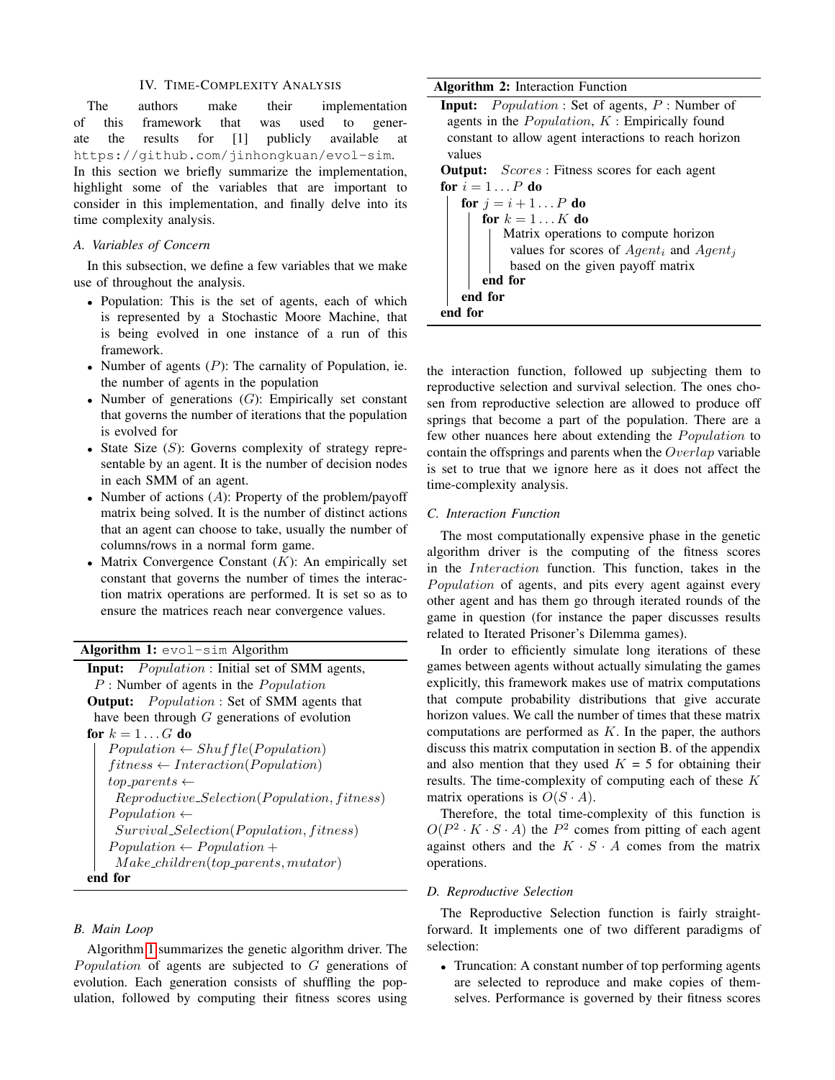#### IV. TIME-COMPLEXITY ANALYSIS

The authors make their implementation of this framework that was used to generate the results for [1] publicly available at https://github.com/jinhongkuan/evol-sim. In this section we briefly summarize the implementation, highlight some of the variables that are important to consider in this implementation, and finally delve into its time complexity analysis.

#### *A. Variables of Concern*

In this subsection, we define a few variables that we make use of throughout the analysis.

- Population: This is the set of agents, each of which is represented by a Stochastic Moore Machine, that is being evolved in one instance of a run of this framework.
- Number of agents  $(P)$ : The carnality of Population, ie. the number of agents in the population
- Number of generations  $(G)$ : Empirically set constant that governs the number of iterations that the population is evolved for
- State Size  $(S)$ : Governs complexity of strategy representable by an agent. It is the number of decision nodes in each SMM of an agent.
- Number of actions  $(A)$ : Property of the problem/payoff matrix being solved. It is the number of distinct actions that an agent can choose to take, usually the number of columns/rows in a normal form game.
- Matrix Convergence Constant  $(K)$ : An empirically set constant that governs the number of times the interaction matrix operations are performed. It is set so as to ensure the matrices reach near convergence values.

# Algorithm 1: evol-sim Algorithm

| <b>Input:</b> <i>Population</i> : Initial set of SMM agents, |
|--------------------------------------------------------------|
| $P$ : Number of agents in the <i>Population</i>              |
| <b>Output:</b> <i>Population</i> : Set of SMM agents that    |
| have been through $G$ generations of evolution               |
| for $k = 1 \dots G$ do                                       |
| $Population \leftarrow Shuffle(Population)$                  |
| $fitness \leftarrow \text{Interaction}(Population)$          |
| $top\_parents \leftarrow$                                    |
| $Reproductive\_Selection(Population, fitness)$               |
| $Population \leftarrow$                                      |
| $Survival\_Selection(Population, fitness)$                   |
| $Population \leftarrow Population +$                         |
| $Make\_children(top\_parents, mutator)$                      |
| end for                                                      |

# <span id="page-1-0"></span>*B. Main Loop*

Algorithm [1](#page-1-0) summarizes the genetic algorithm driver. The Population of agents are subjected to  $G$  generations of evolution. Each generation consists of shuffling the population, followed by computing their fitness scores using

### Algorithm 2: Interaction Function

| <b>Input:</b> $Population: Set of agents, P: Number of$      |
|--------------------------------------------------------------|
| agents in the $Population, K: Empirically found$             |
| constant to allow agent interactions to reach horizon        |
| values                                                       |
| <b>Output:</b> <i>Scores</i> : Fitness scores for each agent |
| for $i=1P$ do                                                |
| <b>for</b> $j = i + 1P$ <b>do</b>                            |
| for $k = 1K$ do                                              |
| Matrix operations to compute horizon                         |
| values for scores of $Agent_i$ and $Agent_j$                 |
| based on the given payoff matrix                             |
| end for                                                      |
| end for                                                      |
|                                                              |

end for

the interaction function, followed up subjecting them to reproductive selection and survival selection. The ones chosen from reproductive selection are allowed to produce off springs that become a part of the population. There are a few other nuances here about extending the *Population* to contain the offsprings and parents when the  $Overlap$  variable is set to true that we ignore here as it does not affect the time-complexity analysis.

#### *C. Interaction Function*

The most computationally expensive phase in the genetic algorithm driver is the computing of the fitness scores in the Interaction function. This function, takes in the Population of agents, and pits every agent against every other agent and has them go through iterated rounds of the game in question (for instance the paper discusses results related to Iterated Prisoner's Dilemma games).

In order to efficiently simulate long iterations of these games between agents without actually simulating the games explicitly, this framework makes use of matrix computations that compute probability distributions that give accurate horizon values. We call the number of times that these matrix computations are performed as  $K$ . In the paper, the authors discuss this matrix computation in section B. of the appendix and also mention that they used  $K = 5$  for obtaining their results. The time-complexity of computing each of these  $K$ matrix operations is  $O(S \cdot A)$ .

Therefore, the total time-complexity of this function is  $O(P^2 \cdot K \cdot S \cdot A)$  the  $P^2$  comes from pitting of each agent against others and the  $K \cdot S \cdot A$  comes from the matrix operations.

#### *D. Reproductive Selection*

The Reproductive Selection function is fairly straightforward. It implements one of two different paradigms of selection:

• Truncation: A constant number of top performing agents are selected to reproduce and make copies of themselves. Performance is governed by their fitness scores